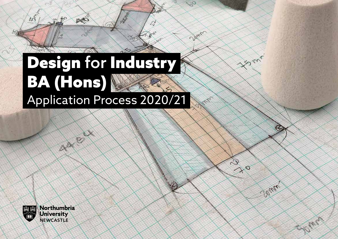# Design for Industry BA (Hons) Application Process 2020/21

AD

**RANT** 

 $\mathcal{S}^{\prime}$ 

Q,

Dame

Form

 $\mathcal{D}$ 

 $20$ 

**Polity** 

Klar



 $\mathcal{R}_{\mathcal{L}}$ 

Northumbria **University NEWCASTLE** 

ARE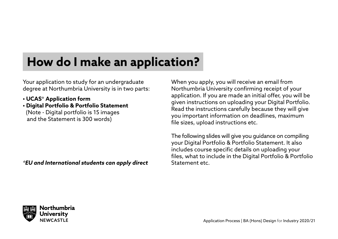### **How do I make an application?**

Your application to study for an undergraduate degree at Northumbria University is in two parts:

- **UCAS\* Application form**
- **Digital Portfolio & Portfolio Statement** (Note - Digital portfolio is 15 images and the Statement is 300 words)

*\*EU and International students can apply direct*

When you apply, you will receive an email from Northumbria University confirming receipt of your application. If you are made an initial offer, you will be given instructions on uploading your Digital Portfolio. Read the instructions carefully because they will give you important information on deadlines, maximum file sizes, upload instructions etc.

The following slides will give you guidance on compiling your Digital Portfolio & Portfolio Statement. It also includes course specific details on uploading your files, what to include in the Digital Portfolio & Portfolio Statement etc.

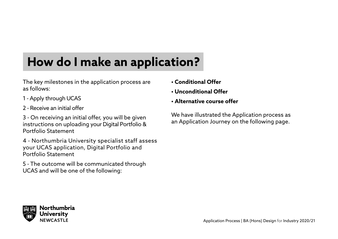# **How do I make an application?**

The key milestones in the application process are as follows:

- 1 Apply through UCAS
- 2 Receive an initial offer

3 - On receiving an initial offer, you will be given instructions on uploading your Digital Portfolio & Portfolio Statement

4 - Northumbria University specialist staff assess your UCAS application, Digital Portfolio and Portfolio Statement

5 - The outcome will be communicated through UCAS and will be one of the following:

- **Conditional Offer**
- **Unconditional Offer**
- **Alternative course offer**

We have illustrated the Application process as an Application Journey on the following page.

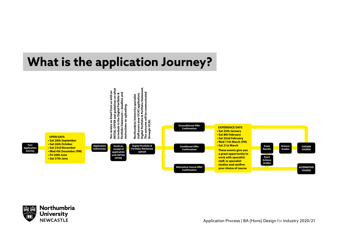### **What is the application Journey?**



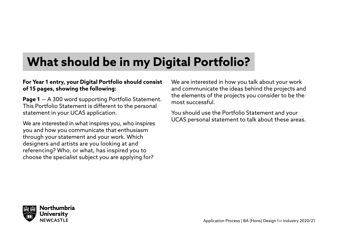### **What should be in my Digital Portfolio?**

#### **For Year 1 entry, your Digital Portfolio should consist of 15 pages, showing the following:**

**Page 1** — A 300 word supporting Portfolio Statement. This Portfolio Statement is different to the personal statement in your UCAS application.

We are interested in what inspires you, who inspires you and how you communicate that enthusiasm through your statement and your work. Which designers and artists are you looking at and referencing? Who, or what, has inspired you to choose the specialist subject you are applying for?

We are interested in how you talk about your work and communicate the ideas behind the projects and the elements of the projects you consider to be the most successful.

You should use the Portfolio Statement and your UCAS personal statement to talk about these areas.

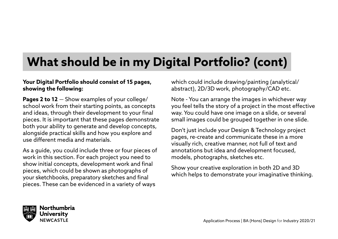### **What should be in my Digital Portfolio? (cont)**

#### **Your Digital Portfolio should consist of 15 pages, showing the following:**

**Pages 2 to 12** — Show examples of your college/ school work from their starting points, as concepts and ideas, through their development to your final pieces. It is important that these pages demonstrate both your ability to generate and develop concepts, alongside practical skills and how you explore and use different media and materials.

As a guide, you could include three or four pieces of work in this section. For each project you need to show initial concepts, development work and final pieces, which could be shown as photographs of your sketchbooks, preparatory sketches and final pieces. These can be evidenced in a variety of ways

which could include drawing/painting (analytical/ abstract), 2D/3D work, photography/CAD etc.

Note - You can arrange the images in whichever way you feel tells the story of a project in the most effective way. You could have one image on a slide, or several small images could be grouped together in one slide.

Don't just include your Design & Technology project pages, re-create and communicate these in a more visually rich, creative manner, not full of text and annotations but idea and development focused, models, photographs, sketches etc.

Show your creative exploration in both 2D and 3D which helps to demonstrate your imaginative thinking.

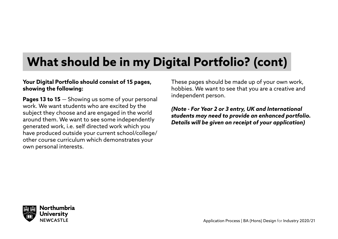## **What should be in my Digital Portfolio? (cont)**

#### **Your Digital Portfolio should consist of 15 pages, showing the following:**

**Pages 13 to 15** — Showing us some of your personal work. We want students who are excited by the subject they choose and are engaged in the world around them. We want to see some independently generated work, i.e. self directed work which you have produced outside your current school/college/ other course curriculum which demonstrates your own personal interests.

These pages should be made up of your own work, hobbies. We want to see that you are a creative and independent person.

#### *(Note - For Year 2 or 3 entry, UK and International students may need to provide an enhanced portfolio. Details will be given on receipt of your application)*

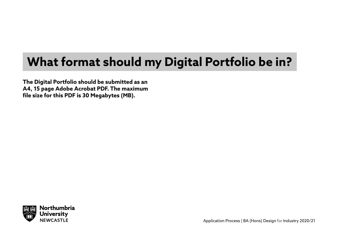## **What format should my Digital Portfolio be in?**

**The Digital Portfolio should be submitted as an A4, 15 page Adobe Acrobat PDF. The maximum file size for this PDF is 30 Megabytes (MB).**

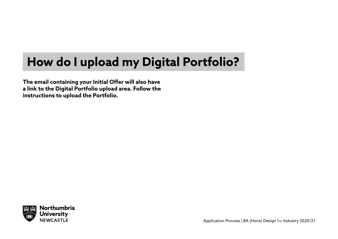### **How do I upload my Digital Portfolio?**

**The email containing your Initial Offer will also have a link to the Digital Portfolio upload area. Follow the instructions to upload the Portfolio.** 

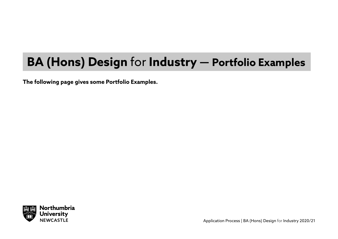### **BA (Hons) Design** for **Industry — Portfolio Examples**

**The following page gives some Portfolio Examples.**